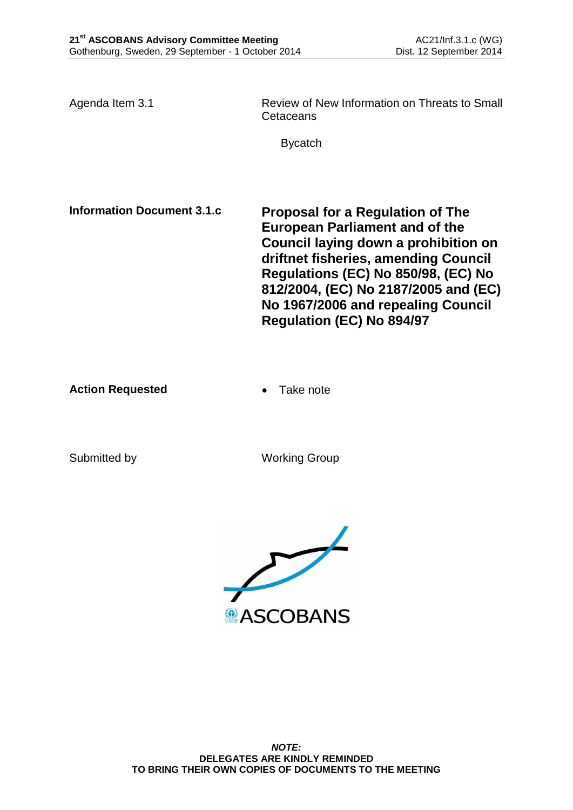Agenda Item 3.1 Review of New Information on Threats to Small Cetaceans

Bycatch

**Information Document 3.1.c Proposal for a Regulation of The European Parliament and of the Council laying down a prohibition on driftnet fisheries, amending Council Regulations (EC) No 850/98, (EC) No 812/2004, (EC) No 2187/2005 and (EC) No 1967/2006 and repealing Council Regulation (EC) No 894/97**

**Action Requested • Take note** 

Submitted by Working Group

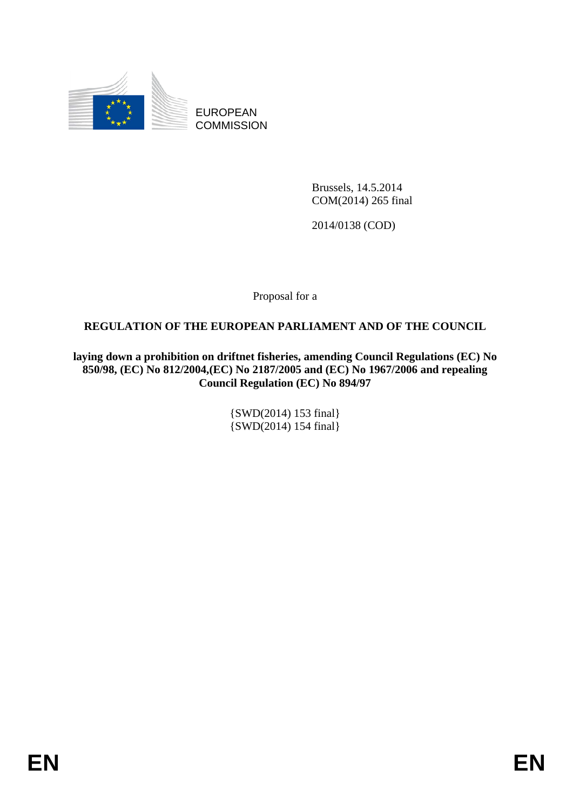

EUROPEAN **COMMISSION** 

> Brussels, 14.5.2014 COM(2014) 265 final

2014/0138 (COD)

Proposal for a

## **REGULATION OF THE EUROPEAN PARLIAMENT AND OF THE COUNCIL**

**laying down a prohibition on driftnet fisheries, amending Council Regulations (EC) No 850/98, (EC) No 812/2004,(EC) No 2187/2005 and (EC) No 1967/2006 and repealing Council Regulation (EC) No 894/97** 

> {SWD(2014) 153 final} {SWD(2014) 154 final}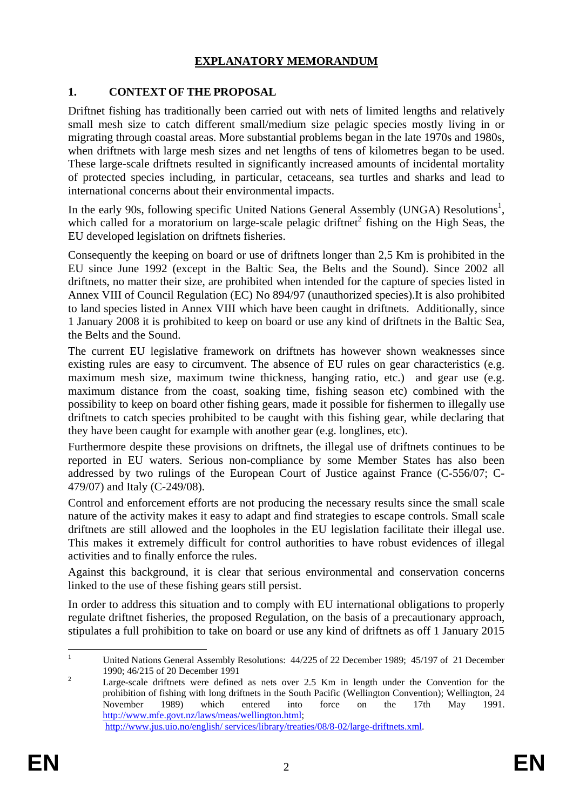## **EXPLANATORY MEMORANDUM**

# **1. CONTEXT OF THE PROPOSAL**

Driftnet fishing has traditionally been carried out with nets of limited lengths and relatively small mesh size to catch different small/medium size pelagic species mostly living in or migrating through coastal areas. More substantial problems began in the late 1970s and 1980s, when driftnets with large mesh sizes and net lengths of tens of kilometres began to be used. These large-scale driftnets resulted in significantly increased amounts of incidental mortality of protected species including, in particular, cetaceans, sea turtles and sharks and lead to international concerns about their environmental impacts.

In the early 90s, following specific United Nations General Assembly (UNGA) Resolutions<sup>1</sup>, which called for a moratorium on large-scale pelagic driftnet<sup>2</sup> fishing on the High Seas, the EU developed legislation on driftnets fisheries.

Consequently the keeping on board or use of driftnets longer than 2,5 Km is prohibited in the EU since June 1992 (except in the Baltic Sea, the Belts and the Sound). Since 2002 all driftnets, no matter their size, are prohibited when intended for the capture of species listed in Annex VIII of Council Regulation (EC) No 894/97 (unauthorized species).It is also prohibited to land species listed in Annex VIII which have been caught in driftnets. Additionally, since 1 January 2008 it is prohibited to keep on board or use any kind of driftnets in the Baltic Sea, the Belts and the Sound.

The current EU legislative framework on driftnets has however shown weaknesses since existing rules are easy to circumvent. The absence of EU rules on gear characteristics (e.g. maximum mesh size, maximum twine thickness, hanging ratio, etc.) and gear use (e.g. maximum distance from the coast, soaking time, fishing season etc) combined with the possibility to keep on board other fishing gears, made it possible for fishermen to illegally use driftnets to catch species prohibited to be caught with this fishing gear, while declaring that they have been caught for example with another gear (e.g. longlines, etc).

Furthermore despite these provisions on driftnets, the illegal use of driftnets continues to be reported in EU waters. Serious non-compliance by some Member States has also been addressed by two rulings of the European Court of Justice against France [\(C-556/07;](http://eur-lex.europa.eu/LexUriServ/LexUriServ.do?uri=CELEX:62007J0556:EN:NOT) C-479/07) and Italy [\(C-249/08\)](http://eur-lex.europa.eu/LexUriServ/LexUriServ.do?uri=CELEX:62008J0249:EN:NOT).

Control and enforcement efforts are not producing the necessary results since the small scale nature of the activity makes it easy to adapt and find strategies to escape controls. Small scale driftnets are still allowed and the loopholes in the EU legislation facilitate their illegal use. This makes it extremely difficult for control authorities to have robust evidences of illegal activities and to finally enforce the rules.

Against this background, it is clear that serious environmental and conservation concerns linked to the use of these fishing gears still persist.

In order to address this situation and to comply with EU international obligations to properly regulate driftnet fisheries, the proposed Regulation, on the basis of a precautionary approach, stipulates a full prohibition to take on board or use any kind of driftnets as off 1 January 2015

 $\frac{1}{1}$  United Nations General Assembly Resolutions: 44/225 of 22 December 1989; 45/197 of 21 December 1990; 46/215 of 20 December 1991

Large-scale driftnets were defined as nets over 2.5 Km in length under the Convention for the prohibition of fishing with long driftnets in the South Pacific (Wellington Convention); Wellington, 24 November 1989) which entered into force on the 17th May 1991. [http://www.mfe.govt.nz/laws/meas/wellington.html;](http://www.mfe.govt.nz/laws/meas/wellington.html)  [http://www.jus.uio.no/english/ services/library/treaties/08/8-02/large-driftnets.xml.](http://www.jus.uio.no/english/%20services/library/treaties/08/8-02/large-driftnets.xml)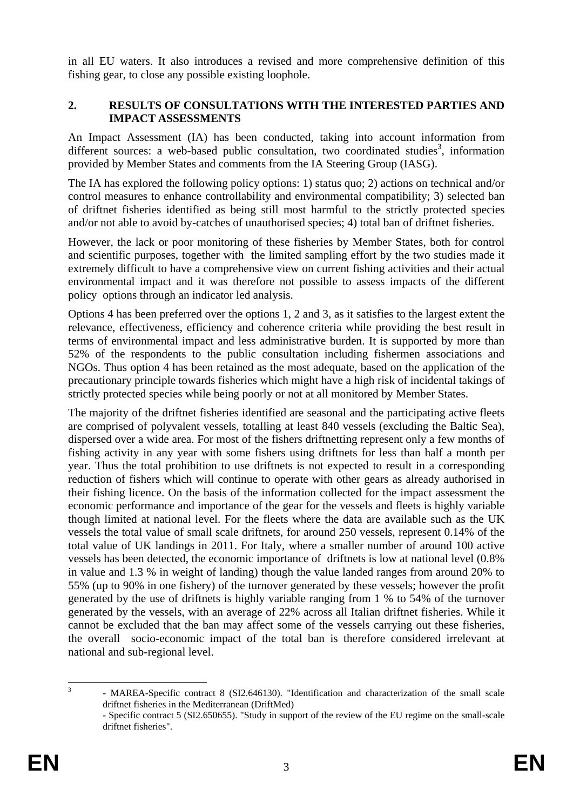in all EU waters. It also introduces a revised and more comprehensive definition of this fishing gear, to close any possible existing loophole.

### **2. RESULTS OF CONSULTATIONS WITH THE INTERESTED PARTIES AND IMPACT ASSESSMENTS**

An Impact Assessment (IA) has been conducted, taking into account information from different sources: a web-based public consultation, two coordinated studies<sup>3</sup>, information provided by Member States and comments from the IA Steering Group (IASG).

The IA has explored the following policy options: 1) status quo; 2) actions on technical and/or control measures to enhance controllability and environmental compatibility; 3) selected ban of driftnet fisheries identified as being still most harmful to the strictly protected species and/or not able to avoid by-catches of unauthorised species; 4) total ban of driftnet fisheries.

However, the lack or poor monitoring of these fisheries by Member States, both for control and scientific purposes, together with the limited sampling effort by the two studies made it extremely difficult to have a comprehensive view on current fishing activities and their actual environmental impact and it was therefore not possible to assess impacts of the different policy options through an indicator led analysis.

Options 4 has been preferred over the options 1, 2 and 3, as it satisfies to the largest extent the relevance, effectiveness, efficiency and coherence criteria while providing the best result in terms of environmental impact and less administrative burden. It is supported by more than 52% of the respondents to the public consultation including fishermen associations and NGOs. Thus option 4 has been retained as the most adequate, based on the application of the precautionary principle towards fisheries which might have a high risk of incidental takings of strictly protected species while being poorly or not at all monitored by Member States.

The majority of the driftnet fisheries identified are seasonal and the participating active fleets are comprised of polyvalent vessels, totalling at least 840 vessels (excluding the Baltic Sea), dispersed over a wide area. For most of the fishers driftnetting represent only a few months of fishing activity in any year with some fishers using driftnets for less than half a month per year. Thus the total prohibition to use driftnets is not expected to result in a corresponding reduction of fishers which will continue to operate with other gears as already authorised in their fishing licence. On the basis of the information collected for the impact assessment the economic performance and importance of the gear for the vessels and fleets is highly variable though limited at national level. For the fleets where the data are available such as the UK vessels the total value of small scale driftnets, for around 250 vessels, represent 0.14% of the total value of UK landings in 2011. For Italy, where a smaller number of around 100 active vessels has been detected, the economic importance of driftnets is low at national level (0.8% in value and 1.3 % in weight of landing) though the value landed ranges from around 20% to 55% (up to 90% in one fishery) of the turnover generated by these vessels; however the profit generated by the use of driftnets is highly variable ranging from 1 % to 54% of the turnover generated by the vessels, with an average of 22% across all Italian driftnet fisheries. While it cannot be excluded that the ban may affect some of the vessels carrying out these fisheries, the overall socio-economic impact of the total ban is therefore considered irrelevant at national and sub-regional level.

 $\frac{1}{3}$  - MAREA-Specific contract 8 (SI2.646130). "Identification and characterization of the small scale driftnet fisheries in the Mediterranean (DriftMed)

 <sup>-</sup> Specific contract 5 (SI2.650655). "Study in support of the review of the EU regime on the small-scale driftnet fisheries".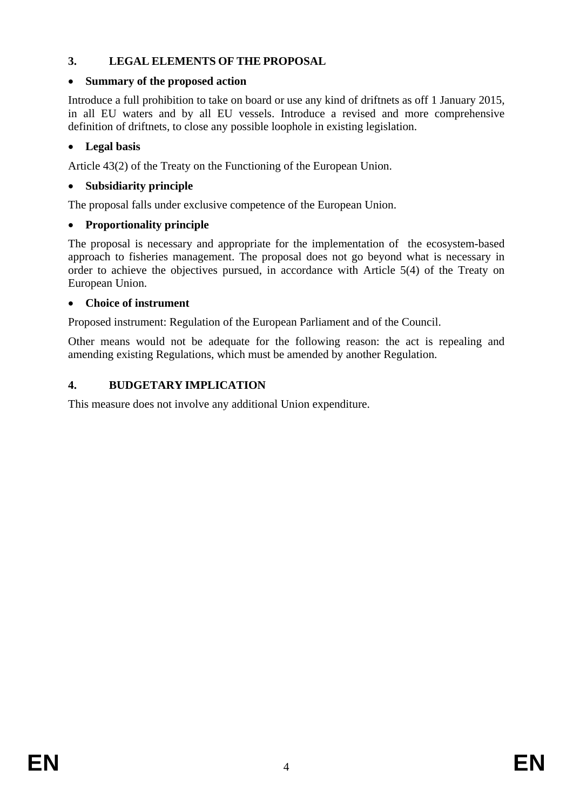# **3. LEGAL ELEMENTS OF THE PROPOSAL**

# • **Summary of the proposed action**

Introduce a full prohibition to take on board or use any kind of driftnets as off 1 January 2015, in all EU waters and by all EU vessels. Introduce a revised and more comprehensive definition of driftnets, to close any possible loophole in existing legislation.

# • **Legal basis**

Article 43(2) of the Treaty on the Functioning of the European Union.

## • **Subsidiarity principle**

The proposal falls under exclusive competence of the European Union.

## • **Proportionality principle**

The proposal is necessary and appropriate for the implementation of the ecosystem-based approach to fisheries management. The proposal does not go beyond what is necessary in order to achieve the objectives pursued, in accordance with Article 5(4) of the Treaty on European Union.

## • **Choice of instrument**

Proposed instrument: Regulation of the European Parliament and of the Council.

Other means would not be adequate for the following reason: the act is repealing and amending existing Regulations, which must be amended by another Regulation.

## **4. BUDGETARY IMPLICATION**

This measure does not involve any additional Union expenditure.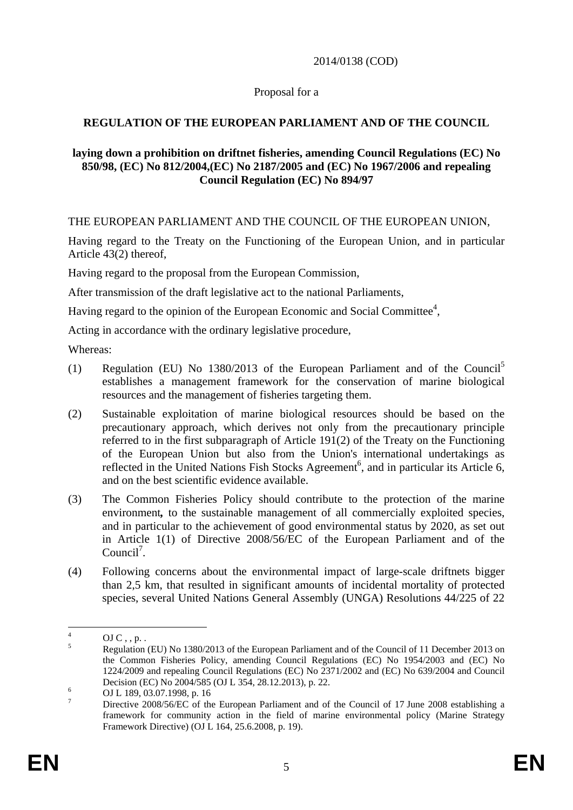#### 2014/0138 (COD)

### Proposal for a

## **REGULATION OF THE EUROPEAN PARLIAMENT AND OF THE COUNCIL**

### **laying down a prohibition on driftnet fisheries, amending Council Regulations (EC) No 850/98, (EC) No 812/2004,(EC) No 2187/2005 and (EC) No 1967/2006 and repealing Council Regulation (EC) No 894/97**

THE EUROPEAN PARLIAMENT AND THE COUNCIL OF THE EUROPEAN UNION,

Having regard to the Treaty on the Functioning of the European Union, and in particular Article 43(2) thereof,

Having regard to the proposal from the European Commission,

After transmission of the draft legislative act to the national Parliaments,

Having regard to the opinion of the European Economic and Social Committee<sup>4</sup>,

Acting in accordance with the ordinary legislative procedure,

Whereas:

- (1) Regulation (EU) No  $1380/2013$  of the European Parliament and of the Council<sup>5</sup> establishes a management framework for the conservation of marine biological resources and the management of fisheries targeting them.
- (2) Sustainable exploitation of marine biological resources should be based on the precautionary approach, which derives not only from the precautionary principle referred to in the first subparagraph of Article 191(2) of the Treaty on the Functioning of the European Union but also from the Union's international undertakings as reflected in the United Nations Fish Stocks Agreement<sup>6</sup>, and in particular its Article 6, and on the best scientific evidence available.
- (3) The Common Fisheries Policy should contribute to the protection of the marine environment*,* to the sustainable management of all commercially exploited species, and in particular to the achievement of good environmental status by 2020, as set out in Article 1(1) of Directive 2008/56/EC of the European Parliament and of the Council<sup>7</sup>.
- (4) Following concerns about the environmental impact of large-scale driftnets bigger than 2,5 km, that resulted in significant amounts of incidental mortality of protected species, several United Nations General Assembly (UNGA) Resolutions 44/225 of 22

 $\frac{1}{4}$  $OJC$ , , p. . 5

Regulation (EU) No 1380/2013 of the European Parliament and of the Council of 11 December 2013 on the Common Fisheries Policy, amending Council Regulations (EC) No 1954/2003 and (EC) No 1224/2009 and repealing Council Regulations (EC) No 2371/2002 and (EC) No 639/2004 and Council Decision (EC) No 2004/585 (OJ L 354, 28.12.2013), p. 22.

OJ L 189, 03.07.1998, p. 16

<sup>7</sup> Directive 2008/56/EC of the European Parliament and of the Council of 17 June 2008 establishing a framework for community action in the field of marine environmental policy (Marine Strategy Framework Directive) (OJ L 164, 25.6.2008, p. 19).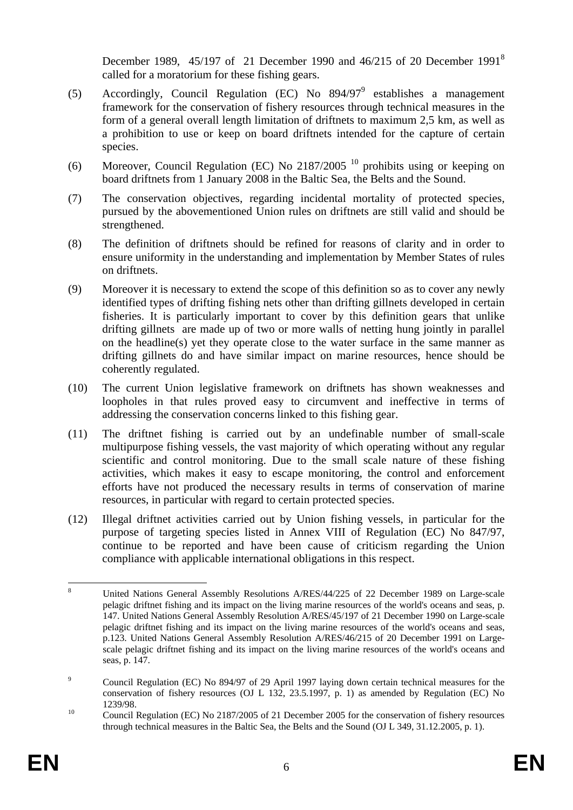December 1989, 45/197 of 21 December 1990 and 46/215 of 20 December 1991<sup>8</sup> called for a moratorium for these fishing gears.

- (5) Accordingly, Council Regulation (EC) No  $894/97^9$  establishes a management framework for the conservation of fishery resources through technical measures in the form of a general overall length limitation of driftnets to maximum 2,5 km, as well as a prohibition to use or keep on board driftnets intended for the capture of certain species.
- (6) Moreover, Council Regulation (EC) No 2187/2005 10 prohibits using or keeping on board driftnets from 1 January 2008 in the Baltic Sea, the Belts and the Sound.
- (7) The conservation objectives, regarding incidental mortality of protected species, pursued by the abovementioned Union rules on driftnets are still valid and should be strengthened.
- (8) The definition of driftnets should be refined for reasons of clarity and in order to ensure uniformity in the understanding and implementation by Member States of rules on driftnets.
- (9) Moreover it is necessary to extend the scope of this definition so as to cover any newly identified types of drifting fishing nets other than drifting gillnets developed in certain fisheries. It is particularly important to cover by this definition gears that unlike drifting gillnets are made up of two or more walls of netting hung jointly in parallel on the headline(s) yet they operate close to the water surface in the same manner as drifting gillnets do and have similar impact on marine resources, hence should be coherently regulated.
- (10) The current Union legislative framework on driftnets has shown weaknesses and loopholes in that rules proved easy to circumvent and ineffective in terms of addressing the conservation concerns linked to this fishing gear.
- (11) The driftnet fishing is carried out by an undefinable number of small-scale multipurpose fishing vessels, the vast majority of which operating without any regular scientific and control monitoring. Due to the small scale nature of these fishing activities, which makes it easy to escape monitoring, the control and enforcement efforts have not produced the necessary results in terms of conservation of marine resources, in particular with regard to certain protected species.
- (12) Illegal driftnet activities carried out by Union fishing vessels, in particular for the purpose of targeting species listed in Annex VIII of Regulation (EC) No 847/97, continue to be reported and have been cause of criticism regarding the Union compliance with applicable international obligations in this respect.

 $\frac{1}{8}$  United Nations General Assembly Resolutions A/RES/44/225 of 22 December 1989 on Large-scale pelagic driftnet fishing and its impact on the living marine resources of the world's oceans and seas, p. 147. United Nations General Assembly Resolution A/RES/45/197 of 21 December 1990 on Large-scale pelagic driftnet fishing and its impact on the living marine resources of the world's oceans and seas, p.123. United Nations General Assembly Resolution A/RES/46/215 of 20 December 1991 on Largescale pelagic driftnet fishing and its impact on the living marine resources of the world's oceans and seas, p. 147.

 $\overline{9}$  Council Regulation (EC) No 894/97 of 29 April 1997 laying down certain technical measures for the conservation of fishery resources (OJ L 132, 23.5.1997, p. 1) as amended by Regulation (EC) No 1239/98.<br><sup>10</sup> Council Regulation (EC) No 2187/2005 of 21 December 2005 for the conservation of fishery resources

through technical measures in the Baltic Sea, the Belts and the Sound (OJ L 349, 31.12.2005, p. 1).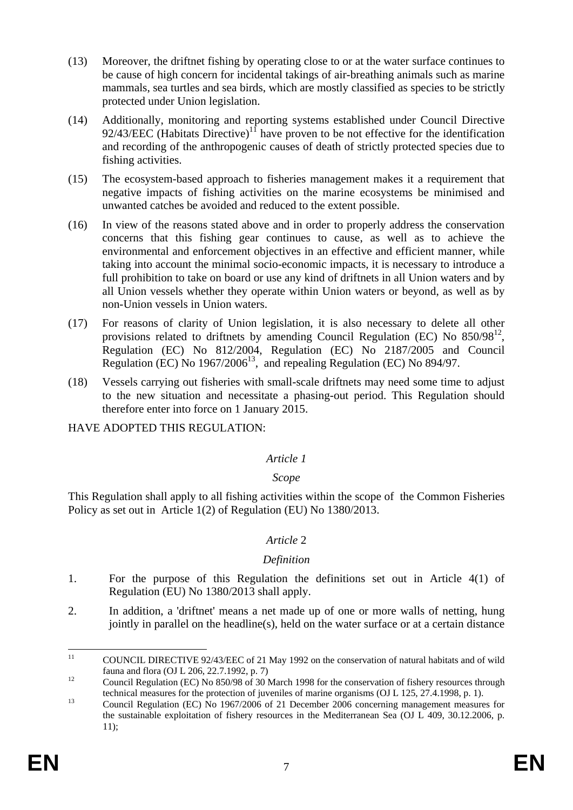- (13) Moreover, the driftnet fishing by operating close to or at the water surface continues to be cause of high concern for incidental takings of air-breathing animals such as marine mammals, sea turtles and sea birds, which are mostly classified as species to be strictly protected under Union legislation.
- (14) Additionally, monitoring and reporting systems established under Council Directive  $92/43/EEC$  (Habitats Directive)<sup>11</sup> have proven to be not effective for the identification and recording of the anthropogenic causes of death of strictly protected species due to fishing activities.
- (15) The ecosystem-based approach to fisheries management makes it a requirement that negative impacts of fishing activities on the marine ecosystems be minimised and unwanted catches be avoided and reduced to the extent possible.
- (16) In view of the reasons stated above and in order to properly address the conservation concerns that this fishing gear continues to cause, as well as to achieve the environmental and enforcement objectives in an effective and efficient manner, while taking into account the minimal socio-economic impacts, it is necessary to introduce a full prohibition to take on board or use any kind of driftnets in all Union waters and by all Union vessels whether they operate within Union waters or beyond, as well as by non-Union vessels in Union waters.
- (17) For reasons of clarity of Union legislation, it is also necessary to delete all other provisions related to driftnets by amending Council Regulation (EC) No  $850/98^{12}$ , Regulation (EC) No 812/2004, Regulation (EC) No 2187/2005 and Council Regulation (EC) No  $1967/2006^{13}$ , and repealing Regulation (EC) No 894/97.
- (18) Vessels carrying out fisheries with small-scale driftnets may need some time to adjust to the new situation and necessitate a phasing-out period. This Regulation should therefore enter into force on 1 January 2015.

HAVE ADOPTED THIS REGULATION:

#### *Article 1*

## *Scope*

This Regulation shall apply to all fishing activities within the scope of the Common Fisheries Policy as set out in Article 1(2) of Regulation (EU) No 1380/2013.

## *Article* 2

#### *Definition*

- 1. For the purpose of this Regulation the definitions set out in Article 4(1) of Regulation (EU) No 1380/2013 shall apply.
- 2. In addition, a 'driftnet' means a net made up of one or more walls of netting, hung jointly in parallel on the headline(s), held on the water surface or at a certain distance

 $11$ COUNCIL DIRECTIVE 92/43/EEC of 21 May 1992 on the conservation of natural habitats and of wild fauna and flora (OJ L 206, 22.7.1992, p. 7)

<sup>&</sup>lt;sup>12</sup> Council Regulation (EC) No 850/98 of 30 March 1998 for the conservation of fishery resources through

technical measures for the protection of juveniles of marine organisms (OJ L 125, 27.4.1998, p. 1).<br>
Council Regulation (EC) No 1967/2006 of 21 December 2006 concerning management measures for the sustainable exploitation of fishery resources in the Mediterranean Sea (OJ L 409, 30.12.2006, p. 11);